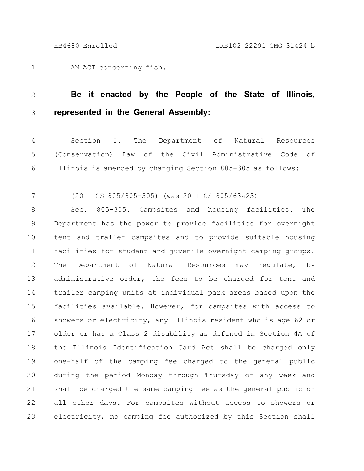AN ACT concerning fish. 1

## **Be it enacted by the People of the State of Illinois, represented in the General Assembly:** 2 3

Section 5. The Department of Natural Resources (Conservation) Law of the Civil Administrative Code of Illinois is amended by changing Section 805-305 as follows: 4 5 6

(20 ILCS 805/805-305) (was 20 ILCS 805/63a23) 7

Sec. 805-305. Campsites and housing facilities. The Department has the power to provide facilities for overnight tent and trailer campsites and to provide suitable housing facilities for student and juvenile overnight camping groups. The Department of Natural Resources may regulate, by administrative order, the fees to be charged for tent and trailer camping units at individual park areas based upon the facilities available. However, for campsites with access to showers or electricity, any Illinois resident who is age 62 or older or has a Class 2 disability as defined in Section 4A of the Illinois Identification Card Act shall be charged only one-half of the camping fee charged to the general public during the period Monday through Thursday of any week and shall be charged the same camping fee as the general public on all other days. For campsites without access to showers or electricity, no camping fee authorized by this Section shall 8 9 10 11 12 13 14 15 16 17 18 19 20 21 22 23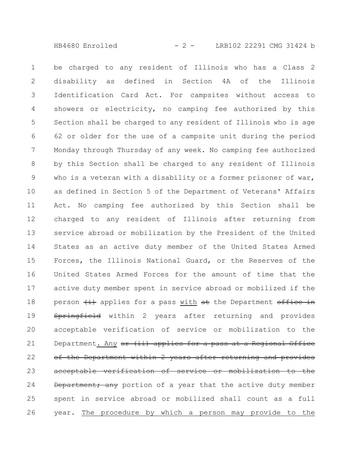HB4680 Enrolled - 2 - LRB102 22291 CMG 31424 b

be charged to any resident of Illinois who has a Class 2 disability as defined in Section 4A of the Illinois Identification Card Act. For campsites without access to showers or electricity, no camping fee authorized by this Section shall be charged to any resident of Illinois who is age 62 or older for the use of a campsite unit during the period Monday through Thursday of any week. No camping fee authorized by this Section shall be charged to any resident of Illinois who is a veteran with a disability or a former prisoner of war, as defined in Section 5 of the Department of Veterans' Affairs Act. No camping fee authorized by this Section shall be charged to any resident of Illinois after returning from service abroad or mobilization by the President of the United States as an active duty member of the United States Armed Forces, the Illinois National Guard, or the Reserves of the United States Armed Forces for the amount of time that the active duty member spent in service abroad or mobilized if the person  $\overline{t}$  applies for a pass with  $\overline{a}t$  the Department office in Springfield within 2 years after returning and provides acceptable verification of service or mobilization to the Department. Any or (ii) applies for a pass at a Regional Office of the Department within 2 years after returning and provides acceptable verification of service or mobilization to the Department; any portion of a year that the active duty member spent in service abroad or mobilized shall count as a full year. The procedure by which a person may provide to the 1 2 3 4 5 6 7 8 9 10 11 12 13 14 15 16 17 18 19 20 21 22 23 24 25 26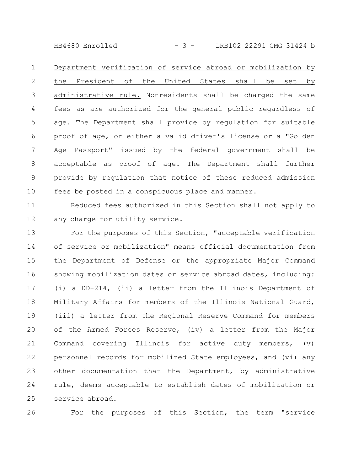HB4680 Enrolled - 3 - LRB102 22291 CMG 31424 b

Department verification of service abroad or mobilization by the President of the United States shall be set by administrative rule. Nonresidents shall be charged the same fees as are authorized for the general public regardless of age. The Department shall provide by regulation for suitable proof of age, or either a valid driver's license or a "Golden Age Passport" issued by the federal government shall be acceptable as proof of age. The Department shall further provide by regulation that notice of these reduced admission fees be posted in a conspicuous place and manner. 1 2 3 4 5 6 7 8 9 10

Reduced fees authorized in this Section shall not apply to any charge for utility service. 11 12

For the purposes of this Section, "acceptable verification of service or mobilization" means official documentation from the Department of Defense or the appropriate Major Command showing mobilization dates or service abroad dates, including: (i) a DD-214, (ii) a letter from the Illinois Department of Military Affairs for members of the Illinois National Guard, (iii) a letter from the Regional Reserve Command for members of the Armed Forces Reserve, (iv) a letter from the Major Command covering Illinois for active duty members, (v) personnel records for mobilized State employees, and (vi) any other documentation that the Department, by administrative rule, deems acceptable to establish dates of mobilization or service abroad. 13 14 15 16 17 18 19 20 21 22 23 24 25

26

For the purposes of this Section, the term "service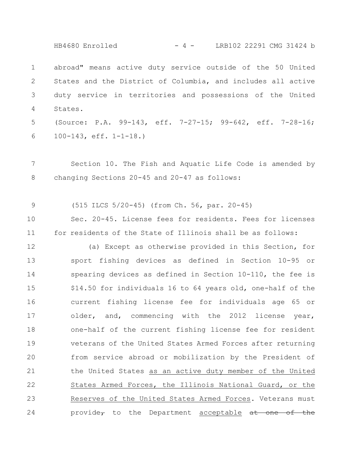HB4680 Enrolled - 4 - LRB102 22291 CMG 31424 b

abroad" means active duty service outside of the 50 United States and the District of Columbia, and includes all active duty service in territories and possessions of the United States. 1 2 3 4

(Source: P.A. 99-143, eff. 7-27-15; 99-642, eff. 7-28-16; 100-143, eff. 1-1-18.) 5 6

Section 10. The Fish and Aquatic Life Code is amended by changing Sections 20-45 and 20-47 as follows: 7 8

(515 ILCS 5/20-45) (from Ch. 56, par. 20-45) 9

Sec. 20-45. License fees for residents. Fees for licenses for residents of the State of Illinois shall be as follows: 10 11

(a) Except as otherwise provided in this Section, for sport fishing devices as defined in Section 10-95 or spearing devices as defined in Section 10-110, the fee is \$14.50 for individuals 16 to 64 years old, one-half of the current fishing license fee for individuals age 65 or older, and, commencing with the 2012 license year, one-half of the current fishing license fee for resident veterans of the United States Armed Forces after returning from service abroad or mobilization by the President of the United States as an active duty member of the United States Armed Forces, the Illinois National Guard, or the Reserves of the United States Armed Forces. Veterans must provide<sub> $\tau$ </sub> to the Department acceptable  $at$  one of 12 13 14 15 16 17 18 19 20 21 22 23 24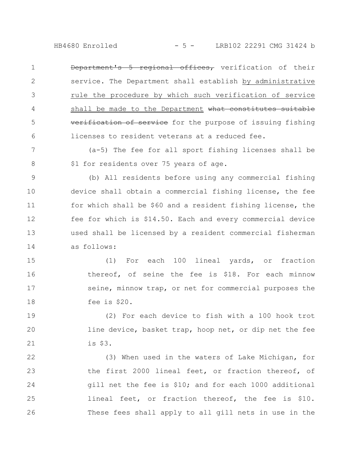HB4680 Enrolled - 5 - LRB102 22291 CMG 31424 b

Department's 5 regional offices, verification of their service. The Department shall establish by administrative rule the procedure by which such verification of service shall be made to the Department what constitutes suitable verification of service for the purpose of issuing fishing licenses to resident veterans at a reduced fee. 1 2 3 4 5 6

(a-5) The fee for all sport fishing licenses shall be \$1 for residents over 75 years of age. 7 8

(b) All residents before using any commercial fishing device shall obtain a commercial fishing license, the fee for which shall be \$60 and a resident fishing license, the fee for which is \$14.50. Each and every commercial device used shall be licensed by a resident commercial fisherman as follows: 9 10 11 12 13 14

(1) For each 100 lineal yards, or fraction thereof, of seine the fee is \$18. For each minnow seine, minnow trap, or net for commercial purposes the fee is \$20. 15 16 17 18

(2) For each device to fish with a 100 hook trot line device, basket trap, hoop net, or dip net the fee is \$3. 19 20 21

(3) When used in the waters of Lake Michigan, for the first 2000 lineal feet, or fraction thereof, of gill net the fee is \$10; and for each 1000 additional lineal feet, or fraction thereof, the fee is \$10. These fees shall apply to all gill nets in use in the 22 23 24 25 26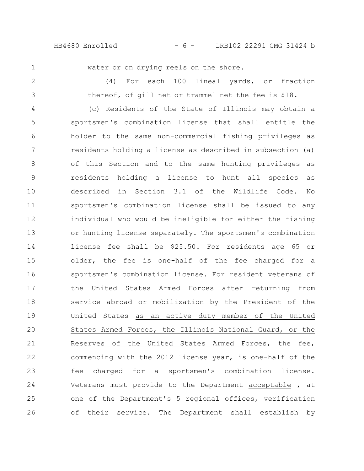HB4680 Enrolled - 6 - LRB102 22291 CMG 31424 b

1

water or on drying reels on the shore.

(4) For each 100 lineal yards, or fraction thereof, of gill net or trammel net the fee is \$18. 2 3

(c) Residents of the State of Illinois may obtain a sportsmen's combination license that shall entitle the holder to the same non-commercial fishing privileges as residents holding a license as described in subsection (a) of this Section and to the same hunting privileges as residents holding a license to hunt all species as described in Section 3.1 of the Wildlife Code. No sportsmen's combination license shall be issued to any individual who would be ineligible for either the fishing or hunting license separately. The sportsmen's combination license fee shall be \$25.50. For residents age 65 or older, the fee is one-half of the fee charged for a sportsmen's combination license. For resident veterans of the United States Armed Forces after returning from service abroad or mobilization by the President of the United States as an active duty member of the United States Armed Forces, the Illinois National Guard, or the Reserves of the United States Armed Forces, the fee, commencing with the 2012 license year, is one-half of the fee charged for a sportsmen's combination license. Veterans must provide to the Department acceptable  $\rightarrow$  at one of the Department's 5 regional offices, verification of their service. The Department shall establish by 4 5 6 7 8 9 10 11 12 13 14 15 16 17 18 19 20 21 22 23 24 25 26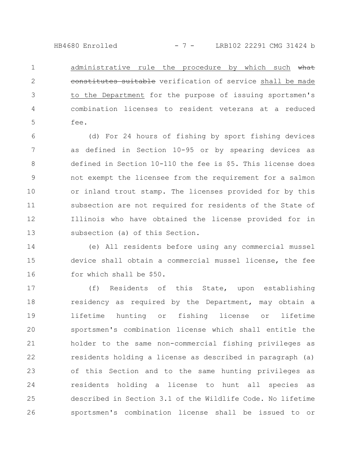HB4680 Enrolled - 7 - LRB102 22291 CMG 31424 b

administrative rule the procedure by which such what constitutes suitable verification of service shall be made to the Department for the purpose of issuing sportsmen's combination licenses to resident veterans at a reduced fee. 1 2 3 4 5

(d) For 24 hours of fishing by sport fishing devices as defined in Section 10-95 or by spearing devices as defined in Section 10-110 the fee is \$5. This license does not exempt the licensee from the requirement for a salmon or inland trout stamp. The licenses provided for by this subsection are not required for residents of the State of Illinois who have obtained the license provided for in subsection (a) of this Section. 6 7 8 9 10 11 12 13

(e) All residents before using any commercial mussel device shall obtain a commercial mussel license, the fee for which shall be \$50. 14 15 16

(f) Residents of this State, upon establishing residency as required by the Department, may obtain a lifetime hunting or fishing license or lifetime sportsmen's combination license which shall entitle the holder to the same non-commercial fishing privileges as residents holding a license as described in paragraph (a) of this Section and to the same hunting privileges as residents holding a license to hunt all species as described in Section 3.1 of the Wildlife Code. No lifetime sportsmen's combination license shall be issued to or 17 18 19 20 21 22 23 24 25 26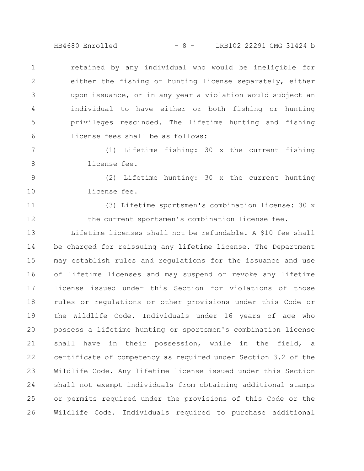HB4680 Enrolled - 8 - LRB102 22291 CMG 31424 b

retained by any individual who would be ineligible for either the fishing or hunting license separately, either upon issuance, or in any year a violation would subject an individual to have either or both fishing or hunting privileges rescinded. The lifetime hunting and fishing license fees shall be as follows: 1 2 3 4 5 6

(1) Lifetime fishing: 30 x the current fishing license fee. 7 8

(2) Lifetime hunting: 30 x the current hunting license fee. 9 10

11

12

(3) Lifetime sportsmen's combination license: 30 x the current sportsmen's combination license fee.

Lifetime licenses shall not be refundable. A \$10 fee shall be charged for reissuing any lifetime license. The Department may establish rules and regulations for the issuance and use of lifetime licenses and may suspend or revoke any lifetime license issued under this Section for violations of those rules or regulations or other provisions under this Code or the Wildlife Code. Individuals under 16 years of age who possess a lifetime hunting or sportsmen's combination license shall have in their possession, while in the field, a certificate of competency as required under Section 3.2 of the Wildlife Code. Any lifetime license issued under this Section shall not exempt individuals from obtaining additional stamps or permits required under the provisions of this Code or the Wildlife Code. Individuals required to purchase additional 13 14 15 16 17 18 19 20 21 22 23 24 25 26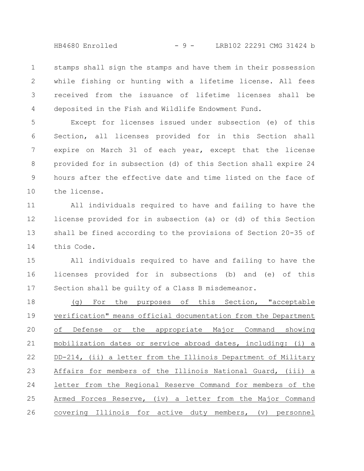HB4680 Enrolled - 9 - LRB102 22291 CMG 31424 b

stamps shall sign the stamps and have them in their possession while fishing or hunting with a lifetime license. All fees received from the issuance of lifetime licenses shall be deposited in the Fish and Wildlife Endowment Fund. 1 2 3 4

Except for licenses issued under subsection (e) of this Section, all licenses provided for in this Section shall expire on March 31 of each year, except that the license provided for in subsection (d) of this Section shall expire 24 hours after the effective date and time listed on the face of the license. 5 6 7 8 9 10

All individuals required to have and failing to have the license provided for in subsection (a) or (d) of this Section shall be fined according to the provisions of Section 20-35 of this Code. 11 12 13 14

All individuals required to have and failing to have the licenses provided for in subsections (b) and (e) of this Section shall be guilty of a Class B misdemeanor. 15 16 17

(g) For the purposes of this Section, "acceptable verification" means official documentation from the Department of Defense or the appropriate Major Command showing mobilization dates or service abroad dates, including: (i) a DD-214, (ii) a letter from the Illinois Department of Military Affairs for members of the Illinois National Guard, (iii) a letter from the Regional Reserve Command for members of the Armed Forces Reserve, (iv) a letter from the Major Command covering Illinois for active duty members, (v) personnel 18 19 20 21 22 23 24 25 26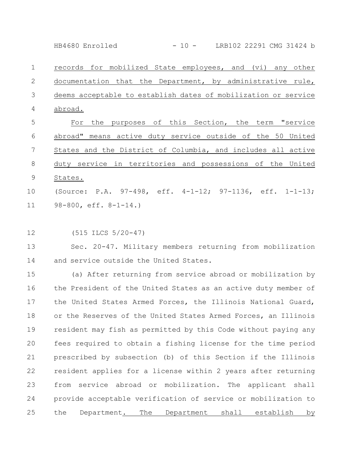HB4680 Enrolled - 10 - LRB102 22291 CMG 31424 b

records for mobilized State employees, and (vi) any other documentation that the Department, by administrative rule, deems acceptable to establish dates of mobilization or service abroad. 1 2 3 4

For the purposes of this Section, the term "service abroad" means active duty service outside of the 50 United States and the District of Columbia, and includes all active duty service in territories and possessions of the United States. (Source: P.A. 97-498, eff. 4-1-12; 97-1136, eff. 1-1-13; 5 6 7 8 9 10

98-800, eff. 8-1-14.) 11

(515 ILCS 5/20-47) 12

Sec. 20-47. Military members returning from mobilization and service outside the United States. 13 14

(a) After returning from service abroad or mobilization by the President of the United States as an active duty member of the United States Armed Forces, the Illinois National Guard, or the Reserves of the United States Armed Forces, an Illinois resident may fish as permitted by this Code without paying any fees required to obtain a fishing license for the time period prescribed by subsection (b) of this Section if the Illinois resident applies for a license within 2 years after returning from service abroad or mobilization. The applicant shall provide acceptable verification of service or mobilization to the Department. The Department shall establish by 15 16 17 18 19 20 21 22 23 24 25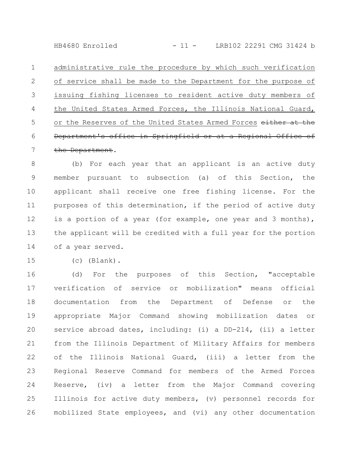HB4680 Enrolled - 11 - LRB102 22291 CMG 31424 b

administrative rule the procedure by which such verification of service shall be made to the Department for the purpose of issuing fishing licenses to resident active duty members of the United States Armed Forces, the Illinois National Guard, or the Reserves of the United States Armed Forces either at the Department's office in Springfield or at a Regional Office of the Department. 1 2 3 4 5 6 7

(b) For each year that an applicant is an active duty member pursuant to subsection (a) of this Section, the applicant shall receive one free fishing license. For the purposes of this determination, if the period of active duty is a portion of a year (for example, one year and 3 months), the applicant will be credited with a full year for the portion of a year served. 8 9 10 11 12 13 14

(c) (Blank). 15

(d) For the purposes of this Section, "acceptable verification of service or mobilization" means official documentation from the Department of Defense or the appropriate Major Command showing mobilization dates or service abroad dates, including: (i) a DD-214, (ii) a letter from the Illinois Department of Military Affairs for members of the Illinois National Guard, (iii) a letter from the Regional Reserve Command for members of the Armed Forces Reserve, (iv) a letter from the Major Command covering Illinois for active duty members, (v) personnel records for mobilized State employees, and (vi) any other documentation 16 17 18 19 20 21 22 23 24 25 26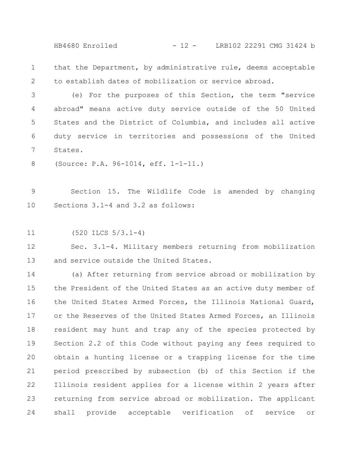HB4680 Enrolled - 12 - LRB102 22291 CMG 31424 b

that the Department, by administrative rule, deems acceptable to establish dates of mobilization or service abroad. 1 2

(e) For the purposes of this Section, the term "service abroad" means active duty service outside of the 50 United States and the District of Columbia, and includes all active duty service in territories and possessions of the United States. 3 4 5 6 7

(Source: P.A. 96-1014, eff. 1-1-11.) 8

Section 15. The Wildlife Code is amended by changing Sections 3.1-4 and 3.2 as follows: 9 10

(520 ILCS 5/3.1-4) 11

Sec. 3.1-4. Military members returning from mobilization and service outside the United States. 12 13

(a) After returning from service abroad or mobilization by the President of the United States as an active duty member of the United States Armed Forces, the Illinois National Guard, or the Reserves of the United States Armed Forces, an Illinois resident may hunt and trap any of the species protected by Section 2.2 of this Code without paying any fees required to obtain a hunting license or a trapping license for the time period prescribed by subsection (b) of this Section if the Illinois resident applies for a license within 2 years after returning from service abroad or mobilization. The applicant shall provide acceptable verification of service or 14 15 16 17 18 19 20 21 22 23 24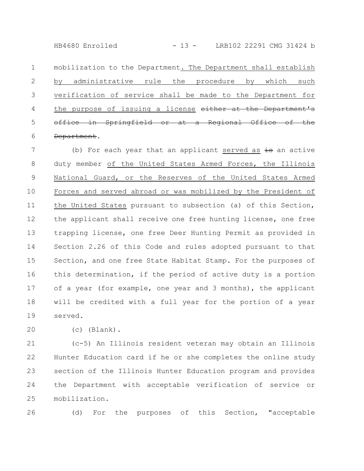HB4680 Enrolled - 13 - LRB102 22291 CMG 31424 b

mobilization to the Department. The Department shall establish by administrative rule the procedure by which such verification of service shall be made to the Department for the purpose of issuing a license either at the Department's office in Springfield or at a Regional Office of the Department. 1 2 3 4 5 6

(b) For each year that an applicant served as  $\frac{1}{10}$  an active duty member of the United States Armed Forces, the Illinois National Guard, or the Reserves of the United States Armed Forces and served abroad or was mobilized by the President of the United States pursuant to subsection (a) of this Section, the applicant shall receive one free hunting license, one free trapping license, one free Deer Hunting Permit as provided in Section 2.26 of this Code and rules adopted pursuant to that Section, and one free State Habitat Stamp. For the purposes of this determination, if the period of active duty is a portion of a year (for example, one year and 3 months), the applicant will be credited with a full year for the portion of a year served. 7 8 9 10 11 12 13 14 15 16 17 18 19

20

(c) (Blank).

(c-5) An Illinois resident veteran may obtain an Illinois Hunter Education card if he or she completes the online study section of the Illinois Hunter Education program and provides the Department with acceptable verification of service or mobilization. 21 22 23 24 25

(d) For the purposes of this Section, "acceptable 26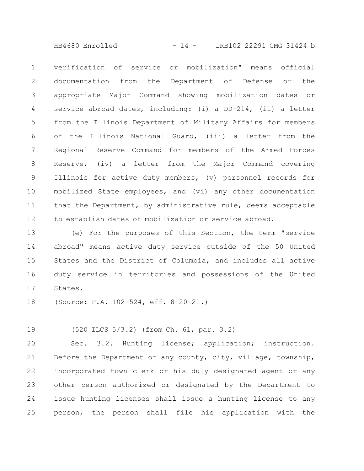HB4680 Enrolled - 14 - LRB102 22291 CMG 31424 b

verification of service or mobilization" means official documentation from the Department of Defense or the appropriate Major Command showing mobilization dates or service abroad dates, including: (i) a DD-214, (ii) a letter from the Illinois Department of Military Affairs for members of the Illinois National Guard, (iii) a letter from the Regional Reserve Command for members of the Armed Forces Reserve, (iv) a letter from the Major Command covering Illinois for active duty members, (v) personnel records for mobilized State employees, and (vi) any other documentation that the Department, by administrative rule, deems acceptable to establish dates of mobilization or service abroad. 1 2 3 4 5 6 7 8 9 10 11 12

(e) For the purposes of this Section, the term "service abroad" means active duty service outside of the 50 United States and the District of Columbia, and includes all active duty service in territories and possessions of the United States. 13 14 15 16 17

(Source: P.A. 102-524, eff. 8-20-21.) 18

(520 ILCS 5/3.2) (from Ch. 61, par. 3.2) 19

Sec. 3.2. Hunting license; application; instruction. Before the Department or any county, city, village, township, incorporated town clerk or his duly designated agent or any other person authorized or designated by the Department to issue hunting licenses shall issue a hunting license to any person, the person shall file his application with the 20 21 22 23 24 25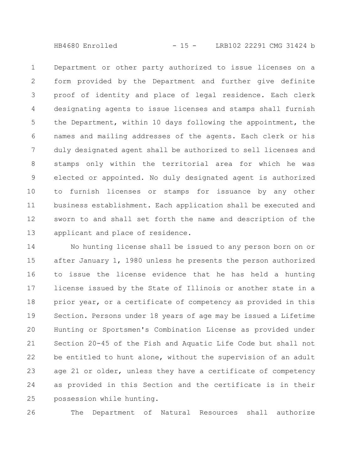HB4680 Enrolled - 15 - LRB102 22291 CMG 31424 b

Department or other party authorized to issue licenses on a form provided by the Department and further give definite proof of identity and place of legal residence. Each clerk designating agents to issue licenses and stamps shall furnish the Department, within 10 days following the appointment, the names and mailing addresses of the agents. Each clerk or his duly designated agent shall be authorized to sell licenses and stamps only within the territorial area for which he was elected or appointed. No duly designated agent is authorized to furnish licenses or stamps for issuance by any other business establishment. Each application shall be executed and sworn to and shall set forth the name and description of the applicant and place of residence. 1 2 3 4 5 6 7 8 9 10 11 12 13

No hunting license shall be issued to any person born on or after January 1, 1980 unless he presents the person authorized to issue the license evidence that he has held a hunting license issued by the State of Illinois or another state in a prior year, or a certificate of competency as provided in this Section. Persons under 18 years of age may be issued a Lifetime Hunting or Sportsmen's Combination License as provided under Section 20-45 of the Fish and Aquatic Life Code but shall not be entitled to hunt alone, without the supervision of an adult age 21 or older, unless they have a certificate of competency as provided in this Section and the certificate is in their possession while hunting. 14 15 16 17 18 19 20 21 22 23 24 25

The Department of Natural Resources shall authorize 26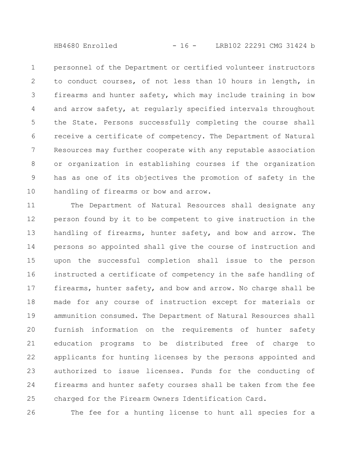HB4680 Enrolled - 16 - LRB102 22291 CMG 31424 b

personnel of the Department or certified volunteer instructors to conduct courses, of not less than 10 hours in length, in firearms and hunter safety, which may include training in bow and arrow safety, at regularly specified intervals throughout the State. Persons successfully completing the course shall receive a certificate of competency. The Department of Natural Resources may further cooperate with any reputable association or organization in establishing courses if the organization has as one of its objectives the promotion of safety in the handling of firearms or bow and arrow. 1 2 3 4 5 6 7 8 9 10

The Department of Natural Resources shall designate any person found by it to be competent to give instruction in the handling of firearms, hunter safety, and bow and arrow. The persons so appointed shall give the course of instruction and upon the successful completion shall issue to the person instructed a certificate of competency in the safe handling of firearms, hunter safety, and bow and arrow. No charge shall be made for any course of instruction except for materials or ammunition consumed. The Department of Natural Resources shall furnish information on the requirements of hunter safety education programs to be distributed free of charge to applicants for hunting licenses by the persons appointed and authorized to issue licenses. Funds for the conducting of firearms and hunter safety courses shall be taken from the fee charged for the Firearm Owners Identification Card. 11 12 13 14 15 16 17 18 19 20 21 22 23 24 25

The fee for a hunting license to hunt all species for a 26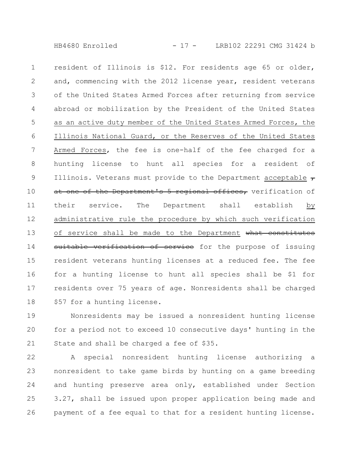HB4680 Enrolled - 17 - LRB102 22291 CMG 31424 b

resident of Illinois is \$12. For residents age 65 or older, and, commencing with the 2012 license year, resident veterans of the United States Armed Forces after returning from service abroad or mobilization by the President of the United States as an active duty member of the United States Armed Forces, the Illinois National Guard, or the Reserves of the United States Armed Forces, the fee is one-half of the fee charged for a hunting license to hunt all species for a resident of Illinois. Veterans must provide to the Department acceptable  $\tau$ at one of the Department's 5 regional offices, verification of their service. The Department shall establish by administrative rule the procedure by which such verification of service shall be made to the Department what constitutes suitable verification of service for the purpose of issuing resident veterans hunting licenses at a reduced fee. The fee for a hunting license to hunt all species shall be \$1 for residents over 75 years of age. Nonresidents shall be charged \$57 for a hunting license. 1 2 3 4 5 6 7 8 9 10 11 12 13 14 15 16 17 18

Nonresidents may be issued a nonresident hunting license for a period not to exceed 10 consecutive days' hunting in the State and shall be charged a fee of \$35. 19 20 21

A special nonresident hunting license authorizing a nonresident to take game birds by hunting on a game breeding and hunting preserve area only, established under Section 3.27, shall be issued upon proper application being made and payment of a fee equal to that for a resident hunting license. 22 23 24 25 26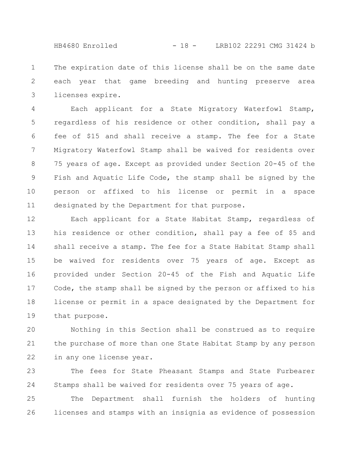HB4680 Enrolled - 18 - LRB102 22291 CMG 31424 b

The expiration date of this license shall be on the same date each year that game breeding and hunting preserve area licenses expire. 1 2 3

Each applicant for a State Migratory Waterfowl Stamp, regardless of his residence or other condition, shall pay a fee of \$15 and shall receive a stamp. The fee for a State Migratory Waterfowl Stamp shall be waived for residents over 75 years of age. Except as provided under Section 20-45 of the Fish and Aquatic Life Code, the stamp shall be signed by the person or affixed to his license or permit in a space designated by the Department for that purpose. 4 5 6 7 8 9 10 11

Each applicant for a State Habitat Stamp, regardless of his residence or other condition, shall pay a fee of \$5 and shall receive a stamp. The fee for a State Habitat Stamp shall be waived for residents over 75 years of age. Except as provided under Section 20-45 of the Fish and Aquatic Life Code, the stamp shall be signed by the person or affixed to his license or permit in a space designated by the Department for that purpose. 12 13 14 15 16 17 18 19

Nothing in this Section shall be construed as to require the purchase of more than one State Habitat Stamp by any person in any one license year. 20 21 22

The fees for State Pheasant Stamps and State Furbearer Stamps shall be waived for residents over 75 years of age. 23 24

The Department shall furnish the holders of hunting licenses and stamps with an insignia as evidence of possession 25 26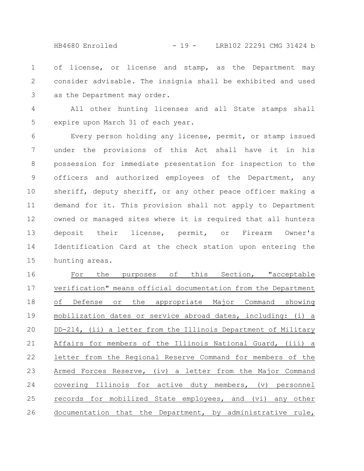HB4680 Enrolled - 19 - LRB102 22291 CMG 31424 b

of license, or license and stamp, as the Department may consider advisable. The insignia shall be exhibited and used as the Department may order. 1 2 3

All other hunting licenses and all State stamps shall expire upon March 31 of each year. 4 5

Every person holding any license, permit, or stamp issued under the provisions of this Act shall have it in his possession for immediate presentation for inspection to the officers and authorized employees of the Department, any sheriff, deputy sheriff, or any other peace officer making a demand for it. This provision shall not apply to Department owned or managed sites where it is required that all hunters deposit their license, permit, or Firearm Owner's Identification Card at the check station upon entering the hunting areas. 6 7 8 9 10 11 12 13 14 15

For the purposes of this Section, "acceptable verification" means official documentation from the Department of Defense or the appropriate Major Command showing mobilization dates or service abroad dates, including: (i) a DD-214, (ii) a letter from the Illinois Department of Military Affairs for members of the Illinois National Guard, (iii) a letter from the Regional Reserve Command for members of the Armed Forces Reserve, (iv) a letter from the Major Command covering Illinois for active duty members, (v) personnel records for mobilized State employees, and (vi) any other documentation that the Department, by administrative rule, 16 17 18 19 20 21 22 23 24 25 26